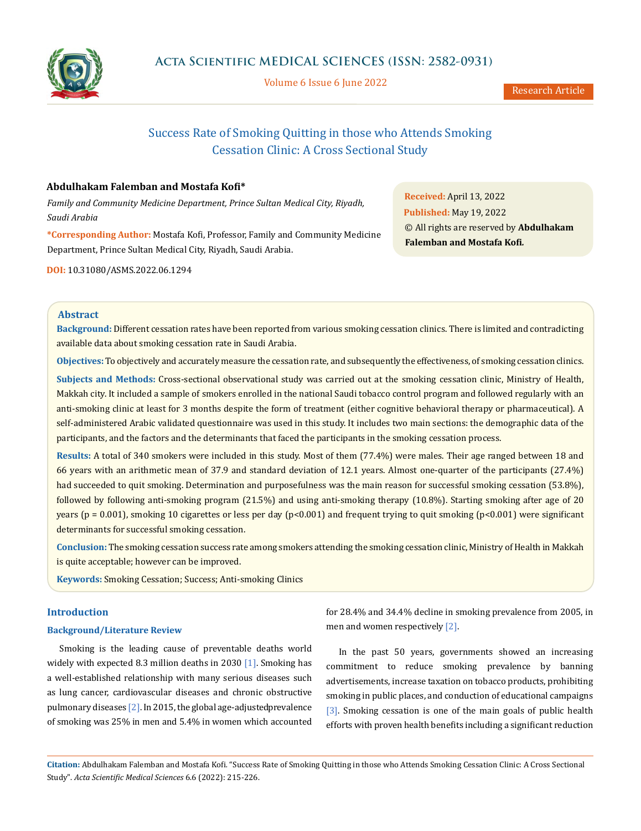

Volume 6 Issue 6 June 2022

Research Article

# Success Rate of Smoking Quitting in those who Attends Smoking Cessation Clinic: A Cross Sectional Study

# **Abdulhakam Falemban and Mostafa Kofi\***

*Family and Community Medicine Department, Prince Sultan Medical City, Riyadh, Saudi Arabia*

**\*Corresponding Author:** Mostafa Kofi, Professor, Family and Community Medicine Department, Prince Sultan Medical City, Riyadh, Saudi Arabia.

**DOI:** [10.31080/ASMS.2022.06.1294](http://actascientific.com/ASMS/pdf/ASMS-06-1294.pdf)

**Received:** April 13, 2022 **Published:** May 19, 2022 © All rights are reserved by **Abdulhakam Falemban and Mostafa Kofi***.*

# **Abstract**

**Background:** Different cessation rates have been reported from various smoking cessation clinics. There is limited and contradicting available data about smoking cessation rate in Saudi Arabia.

**Objectives:** To objectively and accurately measure the cessation rate, and subsequently the effectiveness, of smoking cessation clinics.

**Subjects and Methods:** Cross-sectional observational study was carried out at the smoking cessation clinic, Ministry of Health, Makkah city. It included a sample of smokers enrolled in the national Saudi tobacco control program and followed regularly with an anti-smoking clinic at least for 3 months despite the form of treatment (either cognitive behavioral therapy or pharmaceutical). A self-administered Arabic validated questionnaire was used in this study. It includes two main sections: the demographic data of the participants, and the factors and the determinants that faced the participants in the smoking cessation process.

**Results:** A total of 340 smokers were included in this study. Most of them (77.4%) were males. Their age ranged between 18 and 66 years with an arithmetic mean of 37.9 and standard deviation of 12.1 years. Almost one-quarter of the participants (27.4%) had succeeded to quit smoking. Determination and purposefulness was the main reason for successful smoking cessation (53.8%), followed by following anti-smoking program (21.5%) and using anti-smoking therapy (10.8%). Starting smoking after age of 20 years ( $p = 0.001$ ), smoking 10 cigarettes or less per day ( $p<0.001$ ) and frequent trying to quit smoking ( $p<0.001$ ) were significant determinants for successful smoking cessation.

**Conclusion:** The smoking cessation success rate among smokers attending the smoking cessation clinic, Ministry of Health in Makkah is quite acceptable; however can be improved.

**Keywords:** Smoking Cessation; Success; Anti-smoking Clinics

# **Introduction**

## **Background/Literature Review**

Smoking is the leading cause of preventable deaths world widely with expected 8.3 million deaths in 2030 [1]. Smoking has a well-established relationship with many serious diseases such as lung cancer, cardiovascular diseases and chronic obstructive pulmonary diseases  $[2]$ . In 2015, the global age-adjusted prevalence of smoking was 25% in men and 5.4% in women which accounted for 28.4% and 34.4% decline in smoking prevalence from 2005, in men and women respectively [2].

In the past 50 years, governments showed an increasing commitment to reduce smoking prevalence by banning advertisements, increase taxation on tobacco products, prohibiting smoking in public places, and conduction of educational campaigns [3]. Smoking cessation is one of the main goals of public health efforts with proven health benefits including a significant reduction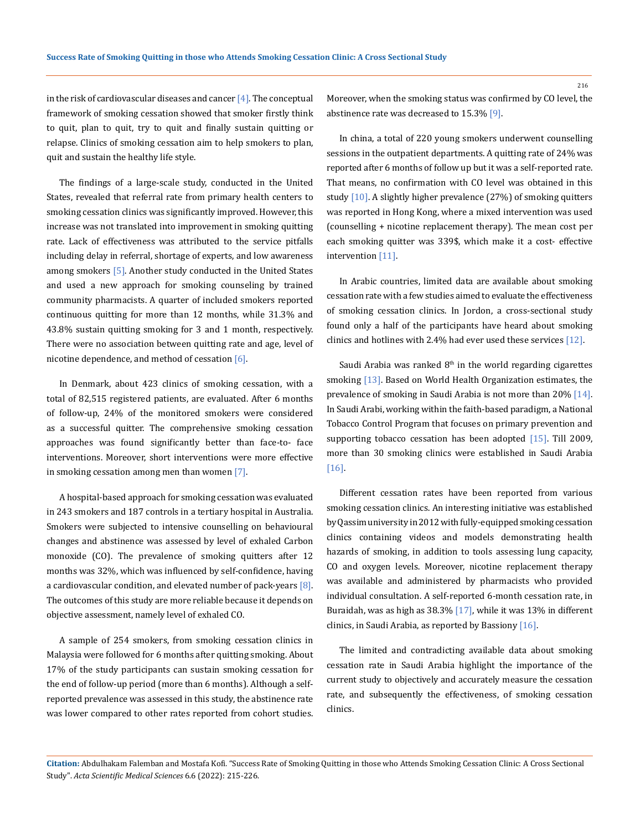in the risk of cardiovascular diseases and cancer  $[4]$ . The conceptual framework of smoking cessation showed that smoker firstly think to quit, plan to quit, try to quit and finally sustain quitting or relapse. Clinics of smoking cessation aim to help smokers to plan, quit and sustain the healthy life style.

The findings of a large-scale study, conducted in the United States, revealed that referral rate from primary health centers to smoking cessation clinics was significantly improved. However, this increase was not translated into improvement in smoking quitting rate. Lack of effectiveness was attributed to the service pitfalls including delay in referral, shortage of experts, and low awareness among smokers [5]. Another study conducted in the United States and used a new approach for smoking counseling by trained community pharmacists. A quarter of included smokers reported continuous quitting for more than 12 months, while 31.3% and 43.8% sustain quitting smoking for 3 and 1 month, respectively. There were no association between quitting rate and age, level of nicotine dependence, and method of cessation  $[6]$ .

In Denmark, about 423 clinics of smoking cessation, with a total of 82,515 registered patients, are evaluated. After 6 months of follow-up, 24% of the monitored smokers were considered as a successful quitter. The comprehensive smoking cessation approaches was found significantly better than face-to- face interventions. Moreover, short interventions were more effective in smoking cessation among men than women [7].

A hospital-based approach for smoking cessation was evaluated in 243 smokers and 187 controls in a tertiary hospital in Australia. Smokers were subjected to intensive counselling on behavioural changes and abstinence was assessed by level of exhaled Carbon monoxide (CO). The prevalence of smoking quitters after 12 months was 32%, which was influenced by self-confidence, having a cardiovascular condition, and elevated number of pack-years  $[8]$ . The outcomes of this study are more reliable because it depends on objective assessment, namely level of exhaled CO.

A sample of 254 smokers, from smoking cessation clinics in Malaysia were followed for 6 months after quitting smoking. About 17% of the study participants can sustain smoking cessation for the end of follow-up period (more than 6 months). Although a selfreported prevalence was assessed in this study, the abstinence rate was lower compared to other rates reported from cohort studies. Moreover, when the smoking status was confirmed by CO level, the abstinence rate was decreased to 15.3% [9].

In china, a total of 220 young smokers underwent counselling sessions in the outpatient departments. A quitting rate of 24% was reported after 6 months of follow up but it was a self-reported rate. That means, no confirmation with CO level was obtained in this study [10]. A slightly higher prevalence (27%) of smoking quitters was reported in Hong Kong, where a mixed intervention was used (counselling + nicotine replacement therapy). The mean cost per each smoking quitter was 339\$, which make it a cost- effective intervention [11].

In Arabic countries, limited data are available about smoking cessation rate with a few studies aimed to evaluate the effectiveness of smoking cessation clinics. In Jordon, a cross-sectional study found only a half of the participants have heard about smoking clinics and hotlines with 2.4% had ever used these services [12].

Saudi Arabia was ranked  $8<sup>th</sup>$  in the world regarding cigarettes smoking [13]. Based on World Health Organization estimates, the prevalence of smoking in Saudi Arabia is not more than 20% [14]. In Saudi Arabi, working within the faith-based paradigm, a National Tobacco Control Program that focuses on primary prevention and supporting tobacco cessation has been adopted [15]. Till 2009, more than 30 smoking clinics were established in Saudi Arabia [16].

Different cessation rates have been reported from various smoking cessation clinics. An interesting initiative was established by Qassim university in 2012 with fully-equipped smoking cessation clinics containing videos and models demonstrating health hazards of smoking, in addition to tools assessing lung capacity, CO and oxygen levels. Moreover, nicotine replacement therapy was available and administered by pharmacists who provided individual consultation. A self-reported 6-month cessation rate, in Buraidah, was as high as 38.3% [17], while it was 13% in different clinics, in Saudi Arabia, as reported by Bassiony [16].

The limited and contradicting available data about smoking cessation rate in Saudi Arabia highlight the importance of the current study to objectively and accurately measure the cessation rate, and subsequently the effectiveness, of smoking cessation clinics.

**Citation:** Abdulhakam Falemban and Mostafa Kofi*.* "Success Rate of Smoking Quitting in those who Attends Smoking Cessation Clinic: A Cross Sectional Study". *Acta Scientific Medical Sciences* 6.6 (2022): 215-226.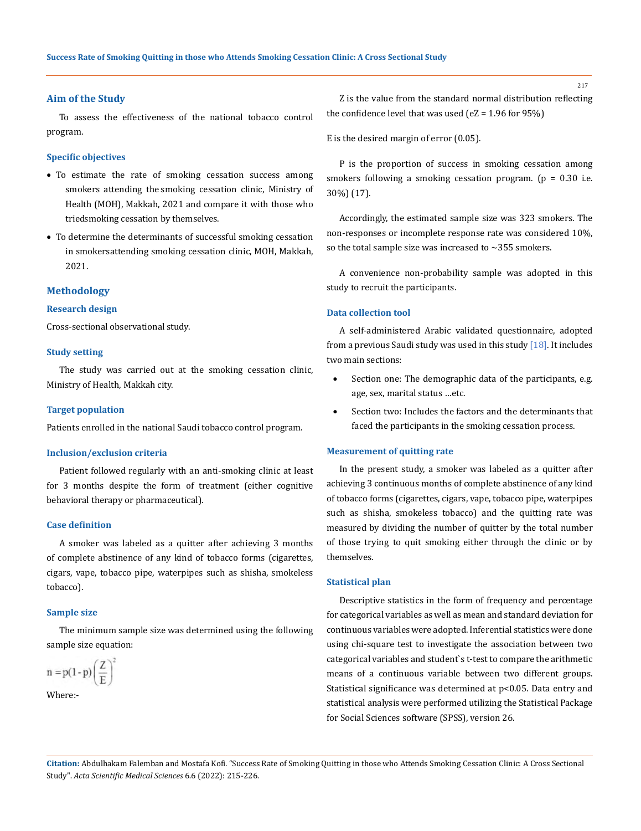## **Aim of the Study**

To assess the effectiveness of the national tobacco control program.

#### **Specific objectives**

- To estimate the rate of smoking cessation success among smokers attending the smoking cessation clinic, Ministry of Health (MOH), Makkah, 2021 and compare it with those who tried smoking cessation by themselves.
- To determine the determinants of successful smoking cessation in smokers attending smoking cessation clinic, MOH, Makkah, 2021.

#### **Methodology**

#### **Research design**

Cross-sectional observational study.

# **Study setting**

The study was carried out at the smoking cessation clinic, Ministry of Health, Makkah city.

# **Target population**

Patients enrolled in the national Saudi tobacco control program.

#### **Inclusion/exclusion criteria**

Patient followed regularly with an anti-smoking clinic at least for 3 months despite the form of treatment (either cognitive behavioral therapy or pharmaceutical).

# **Case definition**

A smoker was labeled as a quitter after achieving 3 months of complete abstinence of any kind of tobacco forms (cigarettes, cigars, vape, tobacco pipe, waterpipes such as shisha, smokeless tobacco).

# **Sample size**

The minimum sample size was determined using the following sample size equation:

$$
n = p(1-p)\left(\frac{Z}{E}\right)^2
$$

Where:-

Z is the value from the standard normal distribution reflecting the confidence level that was used (eZ =  $1.96$  for  $95\%$ )

E is the desired margin of error (0.05).

P is the proportion of success in smoking cessation among smokers following a smoking cessation program.  $(p = 0.30$  i.e. 30%) (17).

Accordingly, the estimated sample size was 323 smokers. The non-responses or incomplete response rate was considered 10%, so the total sample size was increased to  $\sim$ 355 smokers.

A convenience non-probability sample was adopted in this study to recruit the participants.

# **Data collection tool**

A self-administered Arabic validated questionnaire, adopted from a previous Saudi study was used in this study  $[18]$ . It includes two main sections:

- Section one: The demographic data of the participants, e.g. age, sex, marital status …etc.
- Section two: Includes the factors and the determinants that faced the participants in the smoking cessation process.

#### **Measurement of quitting rate**

In the present study, a smoker was labeled as a quitter after achieving 3 continuous months of complete abstinence of any kind of tobacco forms (cigarettes, cigars, vape, tobacco pipe, waterpipes such as shisha, smokeless tobacco) and the quitting rate was measured by dividing the number of quitter by the total number of those trying to quit smoking either through the clinic or by themselves.

#### **Statistical plan**

Descriptive statistics in the form of frequency and percentage for categorical variables as well as mean and standard deviation for continuous variables were adopted. Inferential statistics were done using chi-square test to investigate the association between two categorical variables and student`s t-test to compare the arithmetic means of a continuous variable between two different groups. Statistical significance was determined at p<0.05. Data entry and statistical analysis were performed utilizing the Statistical Package for Social Sciences software (SPSS), version 26.

**Citation:** Abdulhakam Falemban and Mostafa Kofi*.* "Success Rate of Smoking Quitting in those who Attends Smoking Cessation Clinic: A Cross Sectional Study". *Acta Scientific Medical Sciences* 6.6 (2022): 215-226.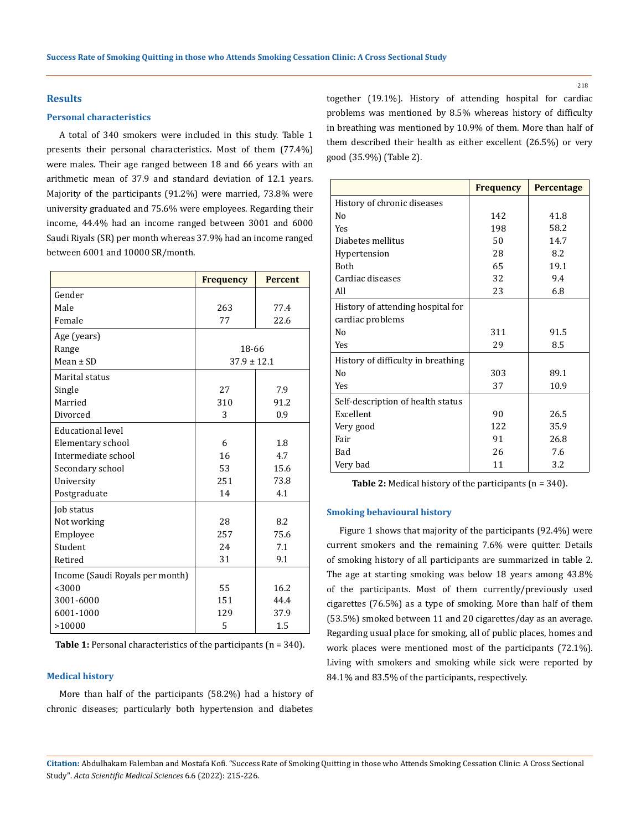# **Results**

#### **Personal characteristics**

A total of 340 smokers were included in this study. Table 1 presents their personal characteristics. Most of them (77.4%) were males. Their age ranged between 18 and 66 years with an arithmetic mean of 37.9 and standard deviation of 12.1 years. Majority of the participants (91.2%) were married, 73.8% were university graduated and 75.6% were employees. Regarding their income, 44.4% had an income ranged between 3001 and 6000 Saudi Riyals (SR) per month whereas 37.9% had an income ranged between 6001 and 10000 SR/month.

|                                 | <b>Frequency</b> | <b>Percent</b> |
|---------------------------------|------------------|----------------|
| Gender                          |                  |                |
| Male                            | 263              | 77.4           |
| Female                          | 77               | 22.6           |
| Age (years)                     |                  |                |
| Range                           | 18-66            |                |
| Mean $\pm$ SD                   | $37.9 \pm 12.1$  |                |
| Marital status                  |                  |                |
| Single                          | 27               | 7.9            |
| Married                         | 310              | 91.2           |
| Divorced                        | 3                | 0.9            |
| <b>Educational level</b>        |                  |                |
| Elementary school               | 6                | 1.8            |
| Intermediate school             | 16               | 4.7            |
| Secondary school                | 53               | 15.6           |
| University                      | 251              | 73.8           |
| Postgraduate                    | 14               | 4.1            |
| Job status                      |                  |                |
| Not working                     | 28               | 8.2            |
| Employee                        | 257              | 75.6           |
| Student                         | 2.4              | 7.1            |
| Retired                         | 31               | 9.1            |
| Income (Saudi Royals per month) |                  |                |
| < 3000                          | 55               | 16.2           |
| 3001-6000                       | 151              | 44.4           |
| 6001-1000                       | 129              | 37.9           |
| >10000                          | 5                | 1.5            |

**Table 1:** Personal characteristics of the participants (n = 340).

# **Medical history**

More than half of the participants (58.2%) had a history of chronic diseases; particularly both hypertension and diabetes

together (19.1%). History of attending hospital for cardiac problems was mentioned by 8.5% whereas history of difficulty in breathing was mentioned by 10.9% of them. More than half of them described their health as either excellent (26.5%) or very good (35.9%) (Table 2).

|                                    | <b>Frequency</b> | <b>Percentage</b> |
|------------------------------------|------------------|-------------------|
| History of chronic diseases        |                  |                   |
| No                                 | 142              | 41.8              |
| <b>Yes</b>                         | 198              | 58.2              |
| Diabetes mellitus                  | 50               | 14.7              |
| Hypertension                       | 28               | 8.2               |
| <b>Both</b>                        | 65               | 19.1              |
| Cardiac diseases                   | 32               | 9.4               |
| All                                | 23               | 6.8               |
| History of attending hospital for  |                  |                   |
| cardiac problems                   |                  |                   |
| No                                 | 311              | 91.5              |
| <b>Yes</b>                         | 29               | 8.5               |
| History of difficulty in breathing |                  |                   |
| No                                 | 303              | 89.1              |
| Yes                                | 37               | 10.9              |
| Self-description of health status  |                  |                   |
| Excellent                          | 90               | 26.5              |
| Very good                          | 122              | 35.9              |
| Fair                               | 91               | 26.8              |
| Bad                                | 26               | 7.6               |
| Very bad                           | 11               | 3.2               |

**Table 2:** Medical history of the participants (n = 340).

## **Smoking behavioural history**

Figure 1 shows that majority of the participants (92.4%) were current smokers and the remaining 7.6% were quitter. Details of smoking history of all participants are summarized in table 2. The age at starting smoking was below 18 years among 43.8% of the participants. Most of them currently/previously used cigarettes (76.5%) as a type of smoking. More than half of them (53.5%) smoked between 11 and 20 cigarettes/day as an average. Regarding usual place for smoking, all of public places, homes and work places were mentioned most of the participants (72.1%). Living with smokers and smoking while sick were reported by 84.1% and 83.5% of the participants, respectively.

**Citation:** Abdulhakam Falemban and Mostafa Kofi*.* "Success Rate of Smoking Quitting in those who Attends Smoking Cessation Clinic: A Cross Sectional Study". *Acta Scientific Medical Sciences* 6.6 (2022): 215-226.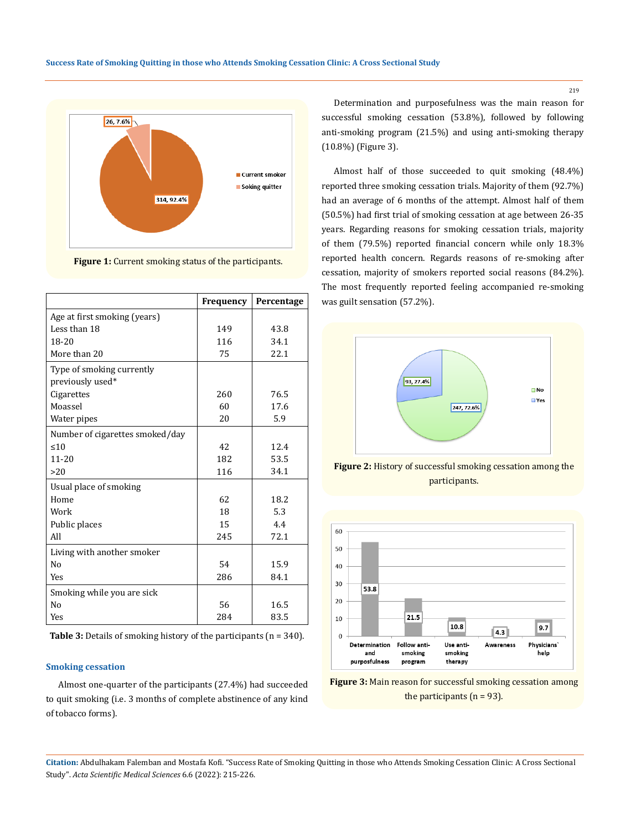

**Figure 1:** Current smoking status of the participants.

|                                 | Frequency | Percentage |
|---------------------------------|-----------|------------|
| Age at first smoking (years)    |           |            |
| Less than 18                    | 149       | 43.8       |
| 18-20                           | 116       | 34.1       |
| More than 20                    | 75        | 22.1       |
| Type of smoking currently       |           |            |
| previously used*                |           |            |
| Cigarettes                      | 260       | 76.5       |
| Moassel                         | 60        | 17.6       |
| Water pipes                     | 20        | 5.9        |
| Number of cigarettes smoked/day |           |            |
| $10^{-1}$                       | 42        | 12.4       |
| $11 - 20$                       | 182       | 53.5       |
| >20                             | 116       | 34.1       |
| Usual place of smoking          |           |            |
| Home                            | 62        | 18.2       |
| Work                            | 18        | 5.3        |
| Public places                   | 15        | 4.4        |
| All                             | 245       | 72.1       |
| Living with another smoker      |           |            |
| N <sub>0</sub>                  | 54        | 15.9       |
| <b>Yes</b>                      | 286       | 84.1       |
| Smoking while you are sick      |           |            |
| N <sub>0</sub>                  | 56        | 16.5       |
| Yes                             | 284       | 83.5       |

**Table 3:** Details of smoking history of the participants (n = 340).

# **Smoking cessation**

Almost one-quarter of the participants (27.4%) had succeeded to quit smoking (i.e. 3 months of complete abstinence of any kind of tobacco forms).

Determination and purposefulness was the main reason for successful smoking cessation (53.8%), followed by following anti-smoking program (21.5%) and using anti-smoking therapy (10.8%) (Figure 3).

Almost half of those succeeded to quit smoking (48.4%) reported three smoking cessation trials. Majority of them (92.7%) had an average of 6 months of the attempt. Almost half of them (50.5%) had first trial of smoking cessation at age between 26-35 years. Regarding reasons for smoking cessation trials, majority of them (79.5%) reported financial concern while only 18.3% reported health concern. Regards reasons of re-smoking after cessation, majority of smokers reported social reasons (84.2%). The most frequently reported feeling accompanied re-smoking was guilt sensation (57.2%).



**Figure 2:** History of successful smoking cessation among the participants.



**Figure 3:** Main reason for successful smoking cessation among the participants  $(n = 93)$ .

**Citation:** Abdulhakam Falemban and Mostafa Kofi*.* "Success Rate of Smoking Quitting in those who Attends Smoking Cessation Clinic: A Cross Sectional Study". *Acta Scientific Medical Sciences* 6.6 (2022): 215-226.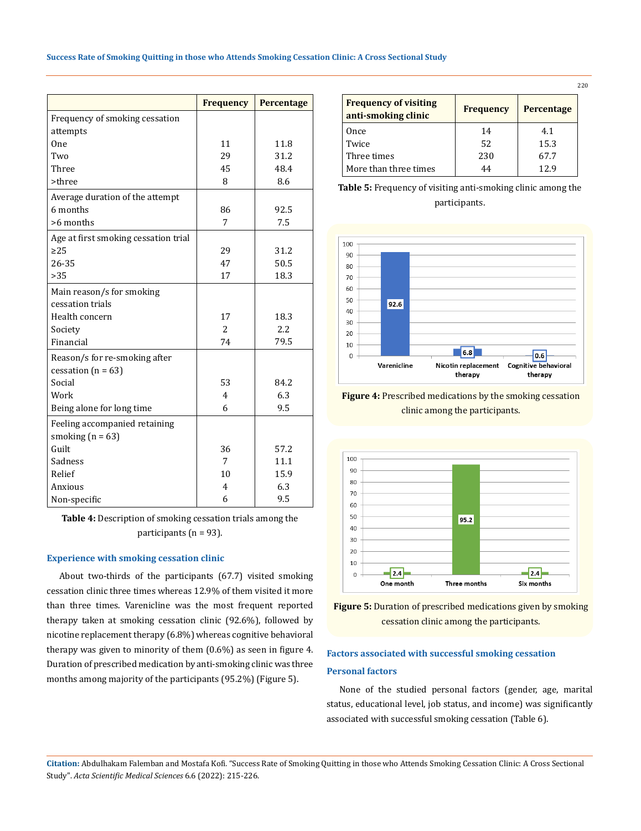|                                      | <b>Frequency</b> | Percentage |
|--------------------------------------|------------------|------------|
| Frequency of smoking cessation       |                  |            |
| attempts                             |                  |            |
| 0 <sub>ne</sub>                      | 11               | 11.8       |
| Two                                  | 29               | 31.2       |
| Three                                | 45               | 48.4       |
| >three                               | 8                | 8.6        |
| Average duration of the attempt      |                  |            |
| 6 months                             | 86               | 92.5       |
| >6 months                            | 7                | 7.5        |
| Age at first smoking cessation trial |                  |            |
| $\geq$ 25                            | 29               | 31.2       |
| 26-35                                | 47               | 50.5       |
| >35                                  | 17               | 18.3       |
| Main reason/s for smoking            |                  |            |
| cessation trials                     |                  |            |
| Health concern                       | 17               | 18.3       |
| Society                              | $\overline{2}$   | 2.2        |
| Financial                            | 74               | 79.5       |
| Reason/s for re-smoking after        |                  |            |
| cessation ( $n = 63$ )               |                  |            |
| Social                               | 53               | 84.2       |
| Work                                 | $\overline{4}$   | 6.3        |
| Being alone for long time            | 6                | 9.5        |
| Feeling accompanied retaining        |                  |            |
| smoking $(n = 63)$                   |                  |            |
| Guilt                                | 36               | 57.2       |
| Sadness                              | 7                | 11.1       |
| Relief                               | 10               | 15.9       |
| Anxious                              | $\overline{4}$   | 6.3        |
| Non-specific                         | 6                | 9.5        |

**Table 4:** Description of smoking cessation trials among the participants (n = 93).

# **Experience with smoking cessation clinic**

About two-thirds of the participants (67.7) visited smoking cessation clinic three times whereas 12.9% of them visited it more than three times. Varenicline was the most frequent reported therapy taken at smoking cessation clinic (92.6%), followed by nicotine replacement therapy (6.8%) whereas cognitive behavioral therapy was given to minority of them (0.6%) as seen in figure 4. Duration of prescribed medication by anti-smoking clinic was three months among majority of the participants (95.2%) (Figure 5).

|                                                     |                  |            | 220 |
|-----------------------------------------------------|------------------|------------|-----|
| <b>Frequency of visiting</b><br>anti-smoking clinic | <b>Frequency</b> | Percentage |     |
| Once                                                | 14               | 4.1        |     |
| Twice                                               | 52               | 15.3       |     |
| Three times                                         | 230              | 67.7       |     |
| More than three times                               | 44               | 12.9       |     |

**Table 5:** Frequency of visiting anti-smoking clinic among the participants.



**Figure 4:** Prescribed medications by the smoking cessation clinic among the participants.





# **Factors associated with successful smoking cessation Personal factors**

None of the studied personal factors (gender, age, marital status, educational level, job status, and income) was significantly associated with successful smoking cessation (Table 6).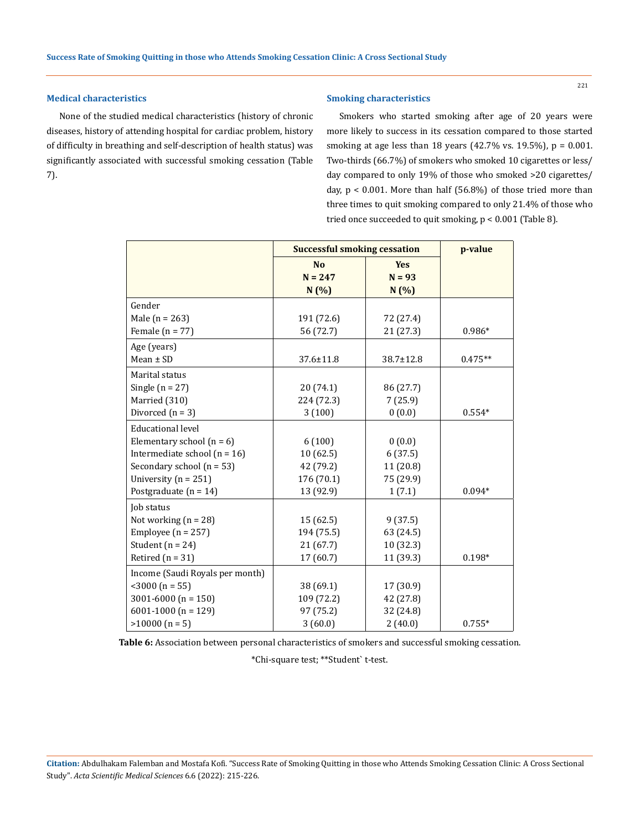# **Medical characteristics**

None of the studied medical characteristics (history of chronic diseases, history of attending hospital for cardiac problem, history of difficulty in breathing and self-description of health status) was significantly associated with successful smoking cessation (Table 7).

# **Smoking characteristics**

Smokers who started smoking after age of 20 years were more likely to success in its cessation compared to those started smoking at age less than 18 years (42.7% vs. 19.5%), p = 0.001. Two-thirds (66.7%) of smokers who smoked 10 cigarettes or less/ day compared to only 19% of those who smoked >20 cigarettes/ day,  $p < 0.001$ . More than half (56.8%) of those tried more than three times to quit smoking compared to only 21.4% of those who tried once succeeded to quit smoking, p < 0.001 (Table 8).

|                                  | <b>Successful smoking cessation</b> | p-value    |           |
|----------------------------------|-------------------------------------|------------|-----------|
|                                  | <b>No</b>                           | <b>Yes</b> |           |
|                                  | $N = 247$                           | $N = 93$   |           |
|                                  | N(%)                                | N(%)       |           |
| Gender                           |                                     |            |           |
| Male ( $n = 263$ )               | 191 (72.6)                          | 72 (27.4)  |           |
| Female ( $n = 77$ )              | 56 (72.7)                           | 21 (27.3)  | $0.986*$  |
| Age (years)                      |                                     |            |           |
| $Mean \pm SD$                    | 37.6±11.8                           | 38.7±12.8  | $0.475**$ |
| Marital status                   |                                     |            |           |
| Single $(n = 27)$                | 20 (74.1)                           | 86 (27.7)  |           |
| Married (310)                    | 224 (72.3)                          | 7(25.9)    |           |
| Divorced $(n = 3)$               | 3(100)                              | 0(0.0)     | $0.554*$  |
| <b>Educational level</b>         |                                     |            |           |
| Elementary school $(n = 6)$      | 6(100)                              | 0(0.0)     |           |
| Intermediate school ( $n = 16$ ) | 10(62.5)                            | 6(37.5)    |           |
| Secondary school $(n = 53)$      | 42 (79.2)                           | 11(20.8)   |           |
| University ( $n = 251$ )         | 176 (70.1)                          | 75 (29.9)  |           |
| Postgraduate $(n = 14)$          | 13 (92.9)                           | 1(7.1)     | $0.094*$  |
| Job status                       |                                     |            |           |
| Not working $(n = 28)$           | 15(62.5)                            | 9(37.5)    |           |
| Employee ( $n = 257$ )           | 194 (75.5)                          | 63 (24.5)  |           |
| Student ( $n = 24$ )             | 21(67.7)                            | 10 (32.3)  |           |
| Retired $(n = 31)$               | 17 (60.7)                           | 11 (39.3)  | $0.198*$  |
| Income (Saudi Royals per month)  |                                     |            |           |
| $<$ 3000 (n = 55)                | 38 (69.1)                           | 17 (30.9)  |           |
| 3001-6000 ( $n = 150$ )          | 109 (72.2)                          | 42 (27.8)  |           |
| 6001-1000 ( $n = 129$ )          | 97 (75.2)                           | 32 (24.8)  |           |
| $>10000$ (n = 5)                 | 3(60.0)                             | 2(40.0)    | $0.755*$  |

**Table 6:** Association between personal characteristics of smokers and successful smoking cessation.

\*Chi-square test; \*\*Student` t-test.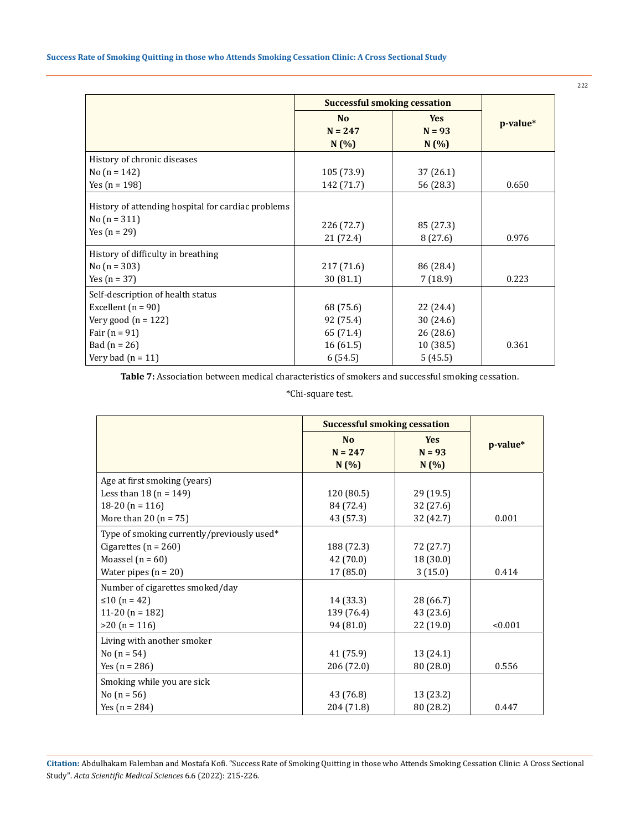|                                                                                        | <b>Successful smoking cessation</b> |                                |          |
|----------------------------------------------------------------------------------------|-------------------------------------|--------------------------------|----------|
|                                                                                        | N <sub>o</sub><br>$N = 247$<br>N(%) | <b>Yes</b><br>$N = 93$<br>N(%) | p-value* |
| History of chronic diseases                                                            |                                     |                                |          |
| No $(n = 142)$                                                                         | 105 (73.9)                          | 37 (26.1)                      |          |
| Yes $(n = 198)$                                                                        | 142 (71.7)                          | 56 (28.3)                      | 0.650    |
| History of attending hospital for cardiac problems<br>No $(n = 311)$<br>Yes $(n = 29)$ | 226 (72.7)<br>21 (72.4)             | 85 (27.3)<br>8(27.6)           | 0.976    |
| History of difficulty in breathing                                                     |                                     |                                |          |
| No $(n = 303)$                                                                         | 217 (71.6)                          | 86 (28.4)                      |          |
| Yes $(n = 37)$                                                                         | 30(81.1)                            | 7(18.9)                        | 0.223    |
| Self-description of health status                                                      |                                     |                                |          |
| Excellent $(n = 90)$                                                                   | 68 (75.6)                           | 22 (24.4)                      |          |
| Very good $(n = 122)$                                                                  | 92 (75.4)                           | 30 (24.6)                      |          |
| Fair $(n = 91)$                                                                        | 65 (71.4)                           | 26(28.6)                       |          |
| Bad $(n = 26)$                                                                         | 16(61.5)                            | 10(38.5)                       | 0.361    |
| Very bad $(n = 11)$                                                                    | 6(54.5)                             | 5(45.5)                        |          |

**Table 7:** Association between medical characteristics of smokers and successful smoking cessation.

\*Chi-square test.

|                                            | <b>Successful smoking cessation</b> |                                |          |
|--------------------------------------------|-------------------------------------|--------------------------------|----------|
|                                            | N <sub>0</sub><br>$N = 247$<br>N(%) | <b>Yes</b><br>$N = 93$<br>N(%) | p-value* |
| Age at first smoking (years)               |                                     |                                |          |
| Less than 18 ( $n = 149$ )                 | 120 (80.5)                          | 29 (19.5)                      |          |
| 18-20 ( $n = 116$ )                        | 84 (72.4)                           | 32 (27.6)                      |          |
| More than 20 $(n = 75)$                    | 43 (57.3)                           | 32 (42.7)                      | 0.001    |
| Type of smoking currently/previously used* |                                     |                                |          |
| Cigarettes ( $n = 260$ )                   | 188 (72.3)                          | 72 (27.7)                      |          |
| Moassel $(n = 60)$                         | 42 (70.0)                           | 18 (30.0)                      |          |
| Water pipes $(n = 20)$                     | 17 (85.0)                           | 3(15.0)                        | 0.414    |
| Number of cigarettes smoked/day            |                                     |                                |          |
| ≤10 (n = 42)                               | 14 (33.3)                           | 28 (66.7)                      |          |
| 11-20 ( $n = 182$ )                        | 139 (76.4)                          | 43 (23.6)                      |          |
| $>20$ (n = 116)                            | 94 (81.0)                           | 22 (19.0)                      | < 0.001  |
| Living with another smoker                 |                                     |                                |          |
| No $(n = 54)$                              | 41 (75.9)                           | 13 (24.1)                      |          |
| Yes $(n = 286)$                            | 206 (72.0)                          | 80 (28.0)                      | 0.556    |
| Smoking while you are sick                 |                                     |                                |          |
| No $(n = 56)$                              | 43 (76.8)                           | 13 (23.2)                      |          |
| Yes $(n = 284)$                            | 204 (71.8)                          | 80 (28.2)                      | 0.447    |

**Citation:** Abdulhakam Falemban and Mostafa Kofi*.* "Success Rate of Smoking Quitting in those who Attends Smoking Cessation Clinic: A Cross Sectional Study". *Acta Scientific Medical Sciences* 6.6 (2022): 215-226.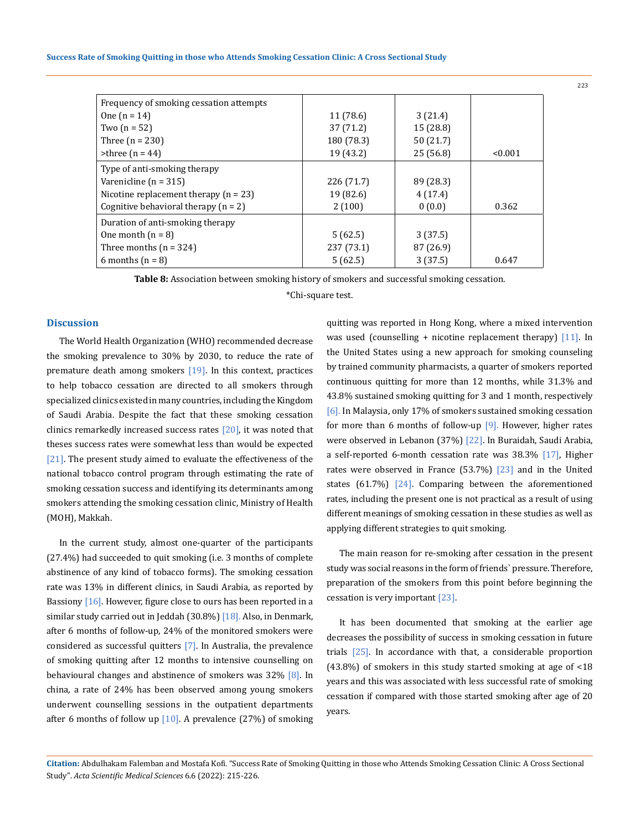| Frequency of smoking cessation attempts |            |           |         |
|-----------------------------------------|------------|-----------|---------|
| One $(n = 14)$                          | 11 (78.6)  | 3(21.4)   |         |
| Two $(n = 52)$                          | 37 (71.2)  | 15 (28.8) |         |
| Three $(n = 230)$                       | 180 (78.3) | 50(21.7)  |         |
| $\triangleright$ three (n = 44)         | 19 (43.2)  | 25(56.8)  | < 0.001 |
| Type of anti-smoking therapy            |            |           |         |
| Varenicline ( $n = 315$ )               | 226 (71.7) | 89 (28.3) |         |
| Nicotine replacement therapy $(n = 23)$ | 19 (82.6)  | 4(17.4)   |         |
| Cognitive behavioral therapy $(n = 2)$  | 2(100)     | 0(0.0)    | 0.362   |
| Duration of anti-smoking therapy        |            |           |         |
| One month $(n = 8)$                     | 5(62.5)    | 3(37.5)   |         |
| Three months $(n = 324)$                | 237 (73.1) | 87 (26.9) |         |
| 6 months $(n = 8)$                      | 5(62.5)    | 3(37.5)   | 0.647   |

**Table 8:** Association between smoking history of smokers and successful smoking cessation.

\*Chi-square test.

#### **Discussion**

The World Health Organization (WHO) recommended decrease the smoking prevalence to 30% by 2030, to reduce the rate of premature death among smokers  $[19]$ . In this context, practices to help tobacco cessation are directed to all smokers through specialized clinics existed in many countries, including the Kingdom of Saudi Arabia. Despite the fact that these smoking cessation clinics remarkedly increased success rates  $[20]$ , it was noted that theses success rates were somewhat less than would be expected [21]. The present study aimed to evaluate the effectiveness of the national tobacco control program through estimating the rate of smoking cessation success and identifying its determinants among smokers attending the smoking cessation clinic, Ministry of Health (MOH), Makkah.

In the current study, almost one-quarter of the participants (27.4%) had succeeded to quit smoking (i.e. 3 months of complete abstinence of any kind of tobacco forms). The smoking cessation rate was 13% in different clinics, in Saudi Arabia, as reported by Bassiony  $[16]$ . However, figure close to ours has been reported in a similar study carried out in Jeddah (30.8%) [18]. Also, in Denmark, after 6 months of follow-up, 24% of the monitored smokers were considered as successful quitters [7]. In Australia, the prevalence of smoking quitting after 12 months to intensive counselling on behavioural changes and abstinence of smokers was 32% [8]. In china, a rate of 24% has been observed among young smokers underwent counselling sessions in the outpatient departments after 6 months of follow up  $[10]$ . A prevalence  $(27%)$  of smoking quitting was reported in Hong Kong, where a mixed intervention was used (counselling + nicotine replacement therapy)  $[11]$ . In the United States using a new approach for smoking counseling by trained community pharmacists, a quarter of smokers reported continuous quitting for more than 12 months, while 31.3% and 43.8% sustained smoking quitting for 3 and 1 month, respectively [6]. In Malaysia, only 17% of smokers sustained smoking cessation for more than 6 months of follow-up  $[9]$ . However, higher rates were observed in Lebanon (37%) [22]. In Buraidah, Saudi Arabia, a self-reported 6-month cessation rate was 38.3% [17], Higher rates were observed in France (53.7%) [23] and in the United states (61.7%) [24]. Comparing between the aforementioned rates, including the present one is not practical as a result of using different meanings of smoking cessation in these studies as well as applying different strategies to quit smoking.

The main reason for re-smoking after cessation in the present study was social reasons in the form of friends` pressure. Therefore, preparation of the smokers from this point before beginning the cessation is very important [23].

It has been documented that smoking at the earlier age decreases the possibility of success in smoking cessation in future trials [25]. In accordance with that, a considerable proportion (43.8%) of smokers in this study started smoking at age of <18 years and this was associated with less successful rate of smoking cessation if compared with those started smoking after age of 20 years.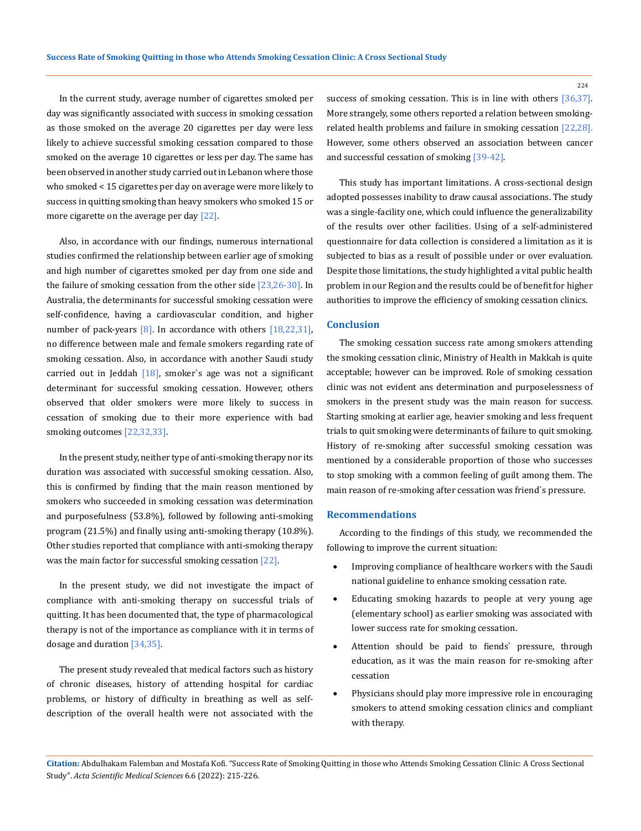In the current study, average number of cigarettes smoked per day was significantly associated with success in smoking cessation as those smoked on the average 20 cigarettes per day were less likely to achieve successful smoking cessation compared to those smoked on the average 10 cigarettes or less per day. The same has been observed in another study carried out in Lebanon where those who smoked < 15 cigarettes per day on average were more likely to success in quitting smoking than heavy smokers who smoked 15 or more cigarette on the average per day [22].

Also, in accordance with our findings, numerous international studies confirmed the relationship between earlier age of smoking and high number of cigarettes smoked per day from one side and the failure of smoking cessation from the other side  $[23,26-30]$ . In Australia, the determinants for successful smoking cessation were self-confidence, having a cardiovascular condition, and higher number of pack-years  $[8]$ . In accordance with others  $[18,22,31]$ , no difference between male and female smokers regarding rate of smoking cessation. Also, in accordance with another Saudi study carried out in Jeddah  $[18]$ , smoker's age was not a significant determinant for successful smoking cessation. However, others observed that older smokers were more likely to success in cessation of smoking due to their more experience with bad smoking outcomes [22,32,33].

In the present study, neither type of anti-smoking therapy nor its duration was associated with successful smoking cessation. Also, this is confirmed by finding that the main reason mentioned by smokers who succeeded in smoking cessation was determination and purposefulness (53.8%), followed by following anti-smoking program (21.5%) and finally using anti-smoking therapy (10.8%). Other studies reported that compliance with anti-smoking therapy was the main factor for successful smoking cessation [22].

In the present study, we did not investigate the impact of compliance with anti-smoking therapy on successful trials of quitting. It has been documented that, the type of pharmacological therapy is not of the importance as compliance with it in terms of dosage and duration [34,35].

The present study revealed that medical factors such as history of chronic diseases, history of attending hospital for cardiac problems, or history of difficulty in breathing as well as selfdescription of the overall health were not associated with the

success of smoking cessation. This is in line with others [36,37]. More strangely, some others reported a relation between smokingrelated health problems and failure in smoking cessation [22,28]. However, some others observed an association between cancer and successful cessation of smoking [39-42].

This study has important limitations. A cross-sectional design adopted possesses inability to draw causal associations. The study was a single-facility one, which could influence the generalizability of the results over other facilities. Using of a self-administered questionnaire for data collection is considered a limitation as it is subjected to bias as a result of possible under or over evaluation. Despite those limitations, the study highlighted a vital public health problem in our Region and the results could be of benefit for higher authorities to improve the efficiency of smoking cessation clinics.

## **Conclusion**

The smoking cessation success rate among smokers attending the smoking cessation clinic, Ministry of Health in Makkah is quite acceptable; however can be improved. Role of smoking cessation clinic was not evident ans determination and purposelessness of smokers in the present study was the main reason for success. Starting smoking at earlier age, heavier smoking and less frequent trials to quit smoking were determinants of failure to quit smoking. History of re-smoking after successful smoking cessation was mentioned by a considerable proportion of those who successes to stop smoking with a common feeling of guilt among them. The main reason of re-smoking after cessation was friend`s pressure.

#### **Recommendations**

According to the findings of this study, we recommended the following to improve the current situation:

- Improving compliance of healthcare workers with the Saudi national guideline to enhance smoking cessation rate.
- Educating smoking hazards to people at very young age (elementary school) as earlier smoking was associated with lower success rate for smoking cessation.
- Attention should be paid to fiends' pressure, through education, as it was the main reason for re-smoking after cessation
- Physicians should play more impressive role in encouraging smokers to attend smoking cessation clinics and compliant with therapy.

**Citation:** Abdulhakam Falemban and Mostafa Kofi*.* "Success Rate of Smoking Quitting in those who Attends Smoking Cessation Clinic: A Cross Sectional Study". *Acta Scientific Medical Sciences* 6.6 (2022): 215-226.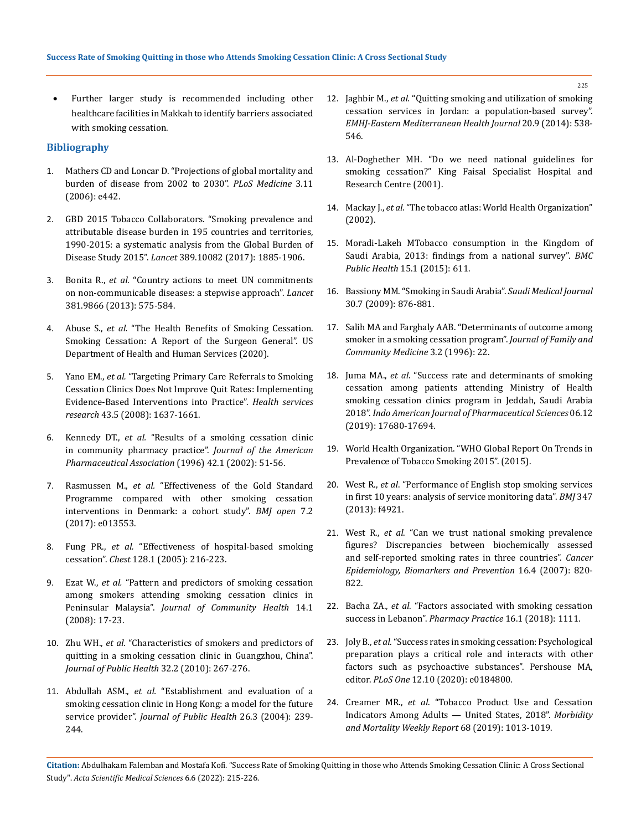Further larger study is recommended including other healthcare facilities in Makkah to identify barriers associated with smoking cessation.

# **Bibliography**

- 1. [Mathers CD and Loncar D. "Projections of global mortality and](https://journals.plos.org/plosmedicine/article?id=10.1371/journal.pmed.0030442)  [burden of disease from 2002 to 2030".](https://journals.plos.org/plosmedicine/article?id=10.1371/journal.pmed.0030442) *PLoS Medicine* 3.11 [\(2006\): e442.](https://journals.plos.org/plosmedicine/article?id=10.1371/journal.pmed.0030442)
- 2. [GBD 2015 Tobacco Collaborators. "Smoking prevalence and](https://pubmed.ncbi.nlm.nih.gov/28390697/)  [attributable disease burden in 195 countries and territories,](https://pubmed.ncbi.nlm.nih.gov/28390697/)  [1990-2015: a systematic analysis from the Global Burden of](https://pubmed.ncbi.nlm.nih.gov/28390697/)  Disease Study 2015". *Lancet* [389.10082 \(2017\): 1885-1906.](https://pubmed.ncbi.nlm.nih.gov/28390697/)
- 3. Bonita R., *et al.* ["Country actions to meet UN commitments](https://pubmed.ncbi.nlm.nih.gov/23410607/)  [on non-communicable diseases: a stepwise approach".](https://pubmed.ncbi.nlm.nih.gov/23410607/) *Lancet* [381.9866 \(2013\): 575-584.](https://pubmed.ncbi.nlm.nih.gov/23410607/)
- 4. Abuse S., *et al.* "The Health Benefits of Smoking Cessation. Smoking Cessation: A Report of the Surgeon General". US Department of Health and Human Services (2020).
- 5. Yano EM., *et al.* ["Targeting Primary Care Referrals to Smoking](https://www.ncbi.nlm.nih.gov/pmc/articles/PMC2653889/)  [Cessation Clinics Does Not Improve Quit Rates: Implementing](https://www.ncbi.nlm.nih.gov/pmc/articles/PMC2653889/)  [Evidence‐Based Interventions into Practice".](https://www.ncbi.nlm.nih.gov/pmc/articles/PMC2653889/) *Health services research* [43.5 \(2008\): 1637-1661.](https://www.ncbi.nlm.nih.gov/pmc/articles/PMC2653889/)
- 6. Kennedy DT., *et al.* ["Results of a smoking cessation clinic](https://pubmed.ncbi.nlm.nih.gov/11833517/)  [in community pharmacy practice".](https://pubmed.ncbi.nlm.nih.gov/11833517/) *Journal of the American [Pharmaceutical Association](https://pubmed.ncbi.nlm.nih.gov/11833517/)* (1996) 42.1 (2002): 51-56.
- 7. Rasmussen M., *et al.* ["Effectiveness of the Gold Standard](https://bmjopen.bmj.com/content/7/2/e013553)  [Programme compared with other smoking cessation](https://bmjopen.bmj.com/content/7/2/e013553)  [interventions in Denmark: a cohort study".](https://bmjopen.bmj.com/content/7/2/e013553) *BMJ open* 7.2 [\(2017\): e013553.](https://bmjopen.bmj.com/content/7/2/e013553)
- 8. Fung PR., *et al.* "Effectiveness of hospital-based smoking cessation". *Chest* 128.1 (2005): 216-223.
- 9. Ezat W., *et al.* ["Pattern and predictors of smoking cessation](https://www.researchgate.net/publication/268371433_Patterns_and_predictors_of_smoking_cessation_among_smokers_attending_smoking_cessation_clinics_in_Peninsular_Malaysia)  [among smokers attending smoking cessation clinics in](https://www.researchgate.net/publication/268371433_Patterns_and_predictors_of_smoking_cessation_among_smokers_attending_smoking_cessation_clinics_in_Peninsular_Malaysia)  Peninsular Malaysia". *[Journal of Community Health](https://www.researchgate.net/publication/268371433_Patterns_and_predictors_of_smoking_cessation_among_smokers_attending_smoking_cessation_clinics_in_Peninsular_Malaysia)* 14.1 [\(2008\): 17-23.](https://www.researchgate.net/publication/268371433_Patterns_and_predictors_of_smoking_cessation_among_smokers_attending_smoking_cessation_clinics_in_Peninsular_Malaysia)
- 10. Zhu WH., *et al.* ["Characteristics of smokers and predictors of](https://pubmed.ncbi.nlm.nih.gov/19939788/)  [quitting in a smoking cessation clinic in Guangzhou, China".](https://pubmed.ncbi.nlm.nih.gov/19939788/)  *[Journal of Public Health](https://pubmed.ncbi.nlm.nih.gov/19939788/)* 32.2 (2010): 267-276.
- 11. Abdullah ASM., *et al.* ["Establishment and evaluation of a](https://pubmed.ncbi.nlm.nih.gov/15454590/)  [smoking cessation clinic in Hong Kong: a model for the future](https://pubmed.ncbi.nlm.nih.gov/15454590/)  service provider". *Journal of Public Health* 26.3 (2004): 239- [244.](https://pubmed.ncbi.nlm.nih.gov/15454590/)
- 12. Jaghbir M., *et al.* ["Quitting smoking and utilization of smoking](https://pubmed.ncbi.nlm.nih.gov/25343466/)  [cessation services in Jordan: a population-based survey".](https://pubmed.ncbi.nlm.nih.gov/25343466/)  *[EMHJ-Eastern Mediterranean Health Journal](https://pubmed.ncbi.nlm.nih.gov/25343466/)* 20.9 (2014): 538- [546.](https://pubmed.ncbi.nlm.nih.gov/25343466/)
- 13. Al-Doghether MH. "Do we need national guidelines for smoking cessation?" King Faisal Specialist Hospital and Research Centre (2001).
- 14. Mackay J., *et al.* "The tobacco atlas: World Health Organization" (2002).
- 15. Moradi-Lakeh MTobacco consumption in the Kingdom of Saudi Arabia, 2013: findings from a national survey". *BMC Public Health* 15.1 (2015): 611.
- 16. [Bassiony MM. "Smoking in Saudi Arabia".](https://pubmed.ncbi.nlm.nih.gov/19617999/) *Saudi Medical Journal* [30.7 \(2009\): 876-881.](https://pubmed.ncbi.nlm.nih.gov/19617999/)
- 17. [Salih MA and Farghaly AAB. "Determinants of outcome among](https://pubmed.ncbi.nlm.nih.gov/23008552/)  [smoker in a smoking cessation program".](https://pubmed.ncbi.nlm.nih.gov/23008552/) *Journal of Family and [Community Medicine](https://pubmed.ncbi.nlm.nih.gov/23008552/)* 3.2 (1996): 22.
- 18. Juma MA., *et al*. "Success rate and determinants of smoking cessation among patients attending Ministry of Health smoking cessation clinics program in Jeddah, Saudi Arabia 2018". *Indo American Journal of Pharmaceutical Sciences* 06.12 (2019): 17680-17694.
- 19. World Health Organization. "WHO Global Report On Trends in Prevalence of Tobacco Smoking 2015". (2015).
- 20. West R., *et al*[. "Performance of English stop smoking services](https://www.bmj.com/content/347/bmj.f4921)  [in first 10 years: analysis of service monitoring data".](https://www.bmj.com/content/347/bmj.f4921) *BMJ* 347 [\(2013\): f4921.](https://www.bmj.com/content/347/bmj.f4921)
- 21. West R., *et al*[. "Can we trust national smoking prevalence](https://pubmed.ncbi.nlm.nih.gov/17416777/)  [figures? Discrepancies between biochemically assessed](https://pubmed.ncbi.nlm.nih.gov/17416777/)  [and self-reported smoking rates in three countries".](https://pubmed.ncbi.nlm.nih.gov/17416777/) *Cancer [Epidemiology, Biomarkers and Prevention](https://pubmed.ncbi.nlm.nih.gov/17416777/)* 16.4 (2007): 820- [822.](https://pubmed.ncbi.nlm.nih.gov/17416777/)
- 22. Bacha ZA., *et al*. "Factors associated with smoking cessation success in Lebanon". *Pharmacy Practice* 16.1 (2018): 1111.
- 23. Joly B., *et al*[. "Success rates in smoking cessation: Psychological](http://www.ncbi.nlm.nih.gov/pubmed/29020085)  [preparation plays a critical role and interacts with other](http://www.ncbi.nlm.nih.gov/pubmed/29020085)  [factors such as psychoactive substances". Pershouse MA,](http://www.ncbi.nlm.nih.gov/pubmed/29020085)  editor. *PLoS One* [12.10 \(2020\): e0184800.](http://www.ncbi.nlm.nih.gov/pubmed/29020085)
- 24. Creamer MR., *et al*. "Tobacco Product Use and Cessation Indicators Among Adults — United States, 2018". *Morbidity and Mortality Weekly Report* 68 (2019): 1013-1019.

**Citation:** Abdulhakam Falemban and Mostafa Kofi*.* "Success Rate of Smoking Quitting in those who Attends Smoking Cessation Clinic: A Cross Sectional Study". *Acta Scientific Medical Sciences* 6.6 (2022): 215-226.